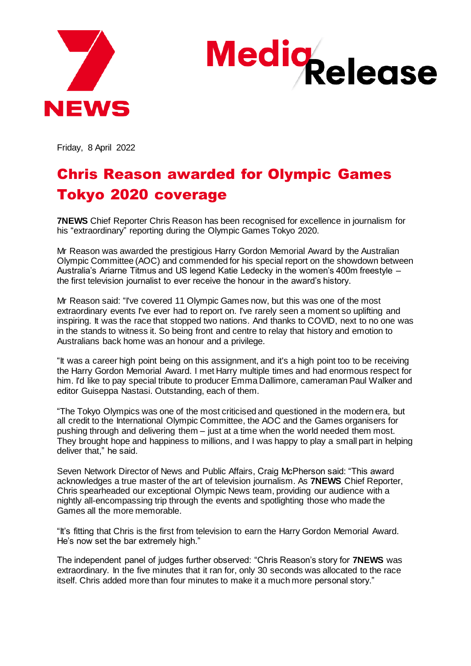



Friday, 8 April 2022

## Chris Reason awarded for Olympic Games Tokyo 2020 coverage

**7NEWS** Chief Reporter Chris Reason has been recognised for excellence in journalism for his "extraordinary" reporting during the Olympic Games Tokyo 2020.

Mr Reason was awarded the prestigious Harry Gordon Memorial Award by the Australian Olympic Committee (AOC) and commended for his special report on the showdown between Australia's Ariarne Titmus and US legend Katie Ledecky in the women's 400m freestyle – the first television journalist to ever receive the honour in the award's history.

Mr Reason said: "I've covered 11 Olympic Games now, but this was one of the most extraordinary events I've ever had to report on. I've rarely seen a moment so uplifting and inspiring. It was the race that stopped two nations. And thanks to COVID, next to no one was in the stands to witness it. So being front and centre to relay that history and emotion to Australians back home was an honour and a privilege.

"It was a career high point being on this assignment, and it's a high point too to be receiving the Harry Gordon Memorial Award. I met Harry multiple times and had enormous respect for him. I'd like to pay special tribute to producer Emma Dallimore, cameraman Paul Walker and editor Guiseppa Nastasi. Outstanding, each of them.

"The Tokyo Olympics was one of the most criticised and questioned in the modern era, but all credit to the International Olympic Committee, the AOC and the Games organisers for pushing through and delivering them – just at a time when the world needed them most. They brought hope and happiness to millions, and I was happy to play a small part in helping deliver that," he said.

Seven Network Director of News and Public Affairs, Craig McPherson said: "This award acknowledges a true master of the art of television journalism. As **7NEWS** Chief Reporter, Chris spearheaded our exceptional Olympic News team, providing our audience with a nightly all-encompassing trip through the events and spotlighting those who made the Games all the more memorable.

"It's fitting that Chris is the first from television to earn the Harry Gordon Memorial Award. He's now set the bar extremely high."

The independent panel of judges further observed: "Chris Reason's story for **7NEWS** was extraordinary. In the five minutes that it ran for, only 30 seconds was allocated to the race itself. Chris added more than four minutes to make it a much more personal story."